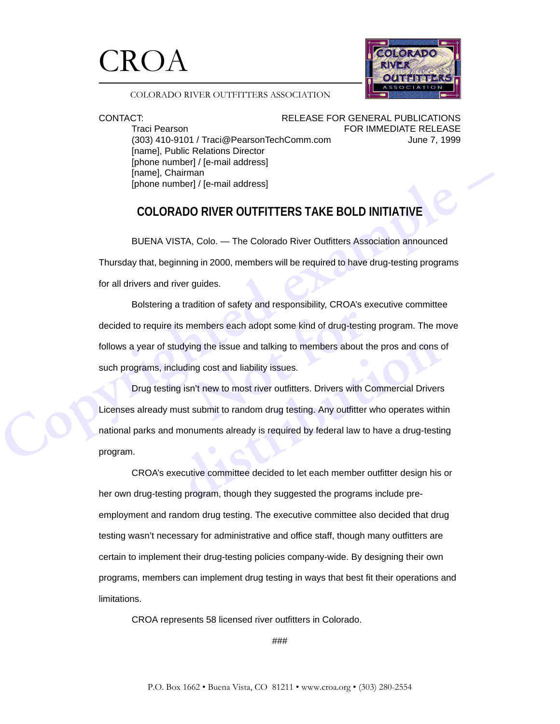



## COLORADO RIVER OUTFITTERS ASSOCIATION

Traci Pearson **FOR IMMEDIATE RELEASE** (303) 410-9101 / Traci@PearsonTechComm.com June 7, 1999 [name], Public Relations Director [phone number] / [e-mail address] [name], Chairman [phone number] / [e-mail address]

CONTACT: RELEASE FOR GENERAL PUBLICATIONS

# **COLORADO RIVER OUTFITTERS TAKE BOLD INITIATIVE**

BUENA VISTA, Colo. — The Colorado River Outfitters Association announced Thursday that, beginning in 2000, members will be required to have drug-testing programs for all drivers and river guides.

[phone number] / [e-mail address]<br>
COLORADO RIVER OUTFITTERS TAKE BOLD INITIATIVE<br>
BUENA VISTA, Colo. — The Colorado River Outfitters Association announced<br>
Thursday that, beginning in 2000, members will be required to hav nembers each adopt some kind of drug-testing<br>the issue and talking to members about the<br>mag cost and liability issues.<br>n't new to most river outfitters. Drivers with (<br>submit to random drug testing. Any outfitter Bolstering a tradition of safety and responsibility, CROA's executive committee decided to require its members each adopt some kind of drug-testing program. The move follows a year of studying the issue and talking to members about the pros and cons of such programs, including cost and liability issues.

dying the issue and talking to members about the pros and cons or<br>
luding cost and liability issues.<br>
g isn't new to most river outfitters. Drivers with Commercial Drivers<br>
ust submit to random drug testing. Any outfitter Drug testing isn't new to most river outfitters. Drivers with Commercial Drivers Licenses already must submit to random drug testing. Any outfitter who operates within national parks and monuments already is required by federal law to have a drug-testing program.

CROA's executive committee decided to let each member outfitter design his or her own drug-testing program, though they suggested the programs include preemployment and random drug testing. The executive committee also decided that drug testing wasn't necessary for administrative and office staff, though many outfitters are certain to implement their drug-testing policies company-wide. By designing their own programs, members can implement drug testing in ways that best fit their operations and limitations.

CROA represents 58 licensed river outfitters in Colorado.

###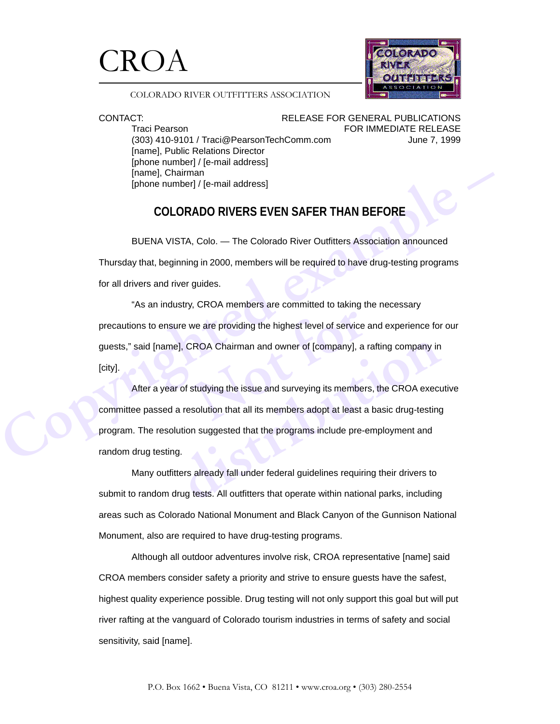



## COLORADO RIVER OUTFITTERS ASSOCIATION

Traci Pearson **FOR IMMEDIATE RELEASE** (303) 410-9101 / Traci@PearsonTechComm.com June 7, 1999 [name], Public Relations Director [phone number] / [e-mail address] [name], Chairman [phone number] / [e-mail address]

CONTACT: RELEASE FOR GENERAL PUBLICATIONS

# **COLORADO RIVERS EVEN SAFER THAN BEFORE**

BUENA VISTA, Colo. — The Colorado River Outfitters Association announced Thursday that, beginning in 2000, members will be required to have drug-testing programs for all drivers and river guides.

we are providing the highest level of service<br>ROA Chairman and owner of [company], a<br>studying the issue and surveying its member<br>solution that all its members adopt at least a "As an industry, CROA members are committed to taking the necessary precautions to ensure we are providing the highest level of service and experience for our guests," said [name], CROA Chairman and owner of [company], a rafting company in [city].

[phone number] / [e-mail address]<br>
COLORADO RIVERS EVEN SAFER THAN BEFORE<br>
BUENA VISTA, Colo. — The Colorado River Outfliters Association announced<br>
Thursday that, beginning in 2000, members will be required to have drug-t **Example 15** CROA Chairman and owner of [company], a rafting company in<br>the of studying the issue and surveying its members, the CROA exect<br>a resolution that all its members adopt at least a basic drug-testing<br>ution sugges After a year of studying the issue and surveying its members, the CROA executive committee passed a resolution that all its members adopt at least a basic drug-testing program. The resolution suggested that the programs include pre-employment and random drug testing.

Many outfitters already fall under federal guidelines requiring their drivers to submit to random drug tests. All outfitters that operate within national parks, including areas such as Colorado National Monument and Black Canyon of the Gunnison National Monument, also are required to have drug-testing programs.

Although all outdoor adventures involve risk, CROA representative [name] said CROA members consider safety a priority and strive to ensure guests have the safest, highest quality experience possible. Drug testing will not only support this goal but will put river rafting at the vanguard of Colorado tourism industries in terms of safety and social sensitivity, said [name].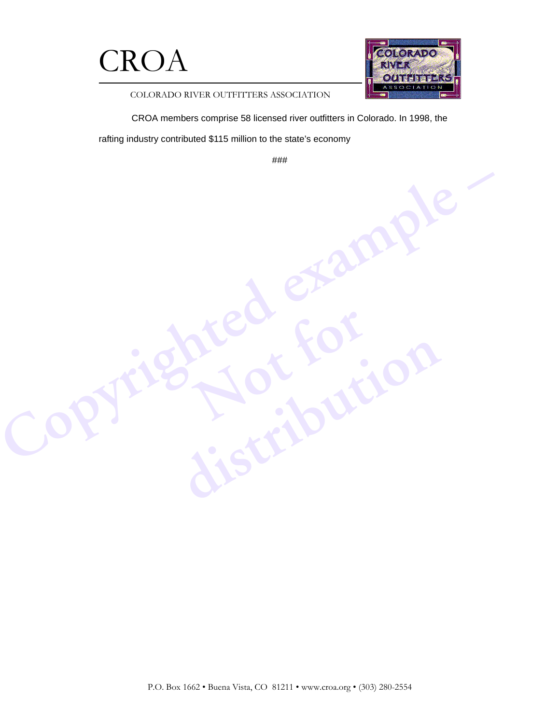



COLORADO RIVER OUTFITTERS ASSOCIATION

CROA members comprise 58 licensed river outfitters in Colorado. In 1998, the

rafting industry contributed \$115 million to the state's economy

Copyrighted example

###

**Not for**

**distribution**